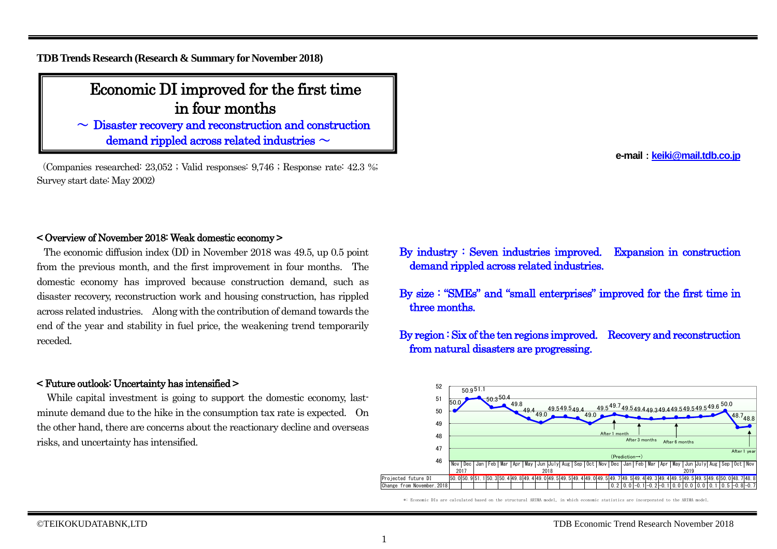**TDB Trends Research (Research & Summary for November 2018)**

# Economic DI improved for the first time in four months

 $\sim$  Disaster recovery and reconstruction and construction demand rippled across related industries  $\sim$ 

(Companies researched: 23,052 ; Valid responses: 9,746 ; Response rate: 42.3 %; Survey start date: May 2002) Ϊ

**e-mail**:**[keiki@mail.tdb.co.jp](mailto:keiki@mail.tdb.co.jp)**

## < Overview of November 2018: Weak domestic economy >

The economic diffusion index (DI) in November 2018 was 49.5, up 0.5 point from the previous month, and the first improvement in four months. The domestic economy has improved because construction demand, such as disaster recovery, reconstruction work and housing construction, has rippled across related industries. Along with the contribution of demand towards the end of the year and stability in fuel price, the weakening trend temporarily receded.

### < Future outlook: Uncertainty has intensified >

While capital investment is going to support the domestic economy, lastminute demand due to the hike in the consumption tax rate is expected. On the other hand, there are concerns about the reactionary decline and overseas risks, and uncertainty has intensified.

- By industry : Seven industries improved. Expansion in construction demand rippled across related industries.
- By size : "SMEs" and "small enterprises" improved for the first time in three months.
- By region : Six of the ten regions improved. Recovery and reconstruction from natural disasters are progressing.



\*: Economic DIs are calculated based on the structural ARIMA model, in which economic statistics are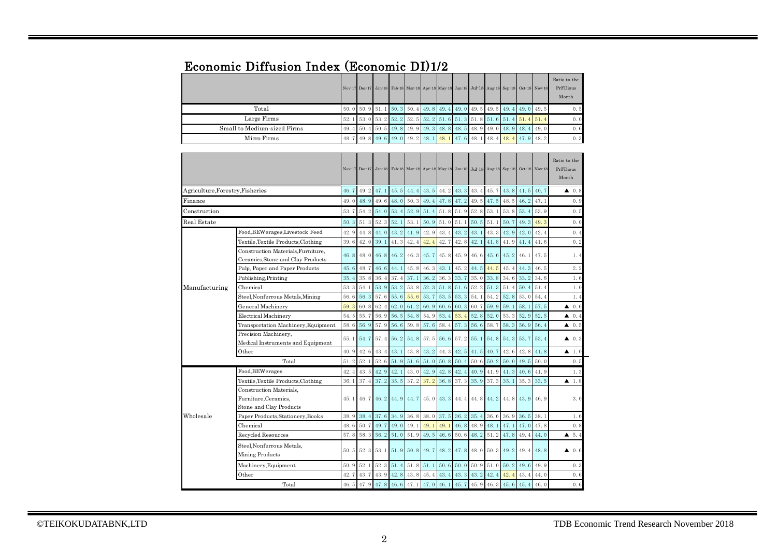## Economic Diffusion Index (Economic DI)1/2

|                             |  |  |  |                                                                                                                          |  |  | Nov 17 Dec 17 Jan 18 Feb 18 Mar 18 Apr 18 May 18 Jun 18 Jul 18 Aug 18 Sep 18 Oct 18 Nov 18 | Ratio to the<br>PrFDious<br>Month |
|-----------------------------|--|--|--|--------------------------------------------------------------------------------------------------------------------------|--|--|--------------------------------------------------------------------------------------------|-----------------------------------|
| Total                       |  |  |  |                                                                                                                          |  |  | 50, 0 50, 9 51, 1 50, 3 50, 4 49, 8 49, 4 49, 0 49, 5 49, 5 49, 4 49, 0 49, 5              | 0.5                               |
| Large Firms                 |  |  |  | $\begin{bmatrix} 52.1 & 53.0 & 53.2 & 52.2 & 52.5 & 52.2 & 51.6 & 51.3 & 51.8 & 51.6 & 51.4 & 51.4 & 51.4 \end{bmatrix}$ |  |  |                                                                                            | 0.0                               |
| Small to Medium-sized Firms |  |  |  |                                                                                                                          |  |  | 49. 4 50. 4 50. 5 49. 8 49. 9 49. 3 48. 8 48. 5 48. 9 49. 0 48. 9 48. 4 49. 0              | 0.6                               |
| Micro Firms                 |  |  |  |                                                                                                                          |  |  | 48. 7 49. 8 49. 6 49. 0 49. 2 48. 1 48. 1 47. 6 48. 1 48. 4 48. 4 47. 9 48. 2              | 0.3                               |

|                                  |                                                                            |      |           |           |                |             |      | Nov 17 Dec 17 Jan 18 Feb 18 Mar 18 Apr 18 May 18 Jun 18 Jul 18 Aug 18 Sep 18 Oct 18 Nov 18 |      |      |                          |      |                         |      | Ratio to the<br>PrFDious<br>Month |
|----------------------------------|----------------------------------------------------------------------------|------|-----------|-----------|----------------|-------------|------|--------------------------------------------------------------------------------------------|------|------|--------------------------|------|-------------------------|------|-----------------------------------|
| Agriculture, Forestry, Fisheries |                                                                            |      |           | 49.2 47.1 |                | 45.5 44.4   |      | 43.5 44.2                                                                                  | 43.3 | 43.4 | 45.7                     |      | $43.8$ 41.5 40.7        |      | $\triangle$ 0.8                   |
| Finance                          |                                                                            | 49.0 | 48.9      | 49.6      | 48.0           | 50.3        | 49.4 | 47.8 47.2 49.5                                                                             |      |      | 47.5                     |      | $48.5$ 46.2             | 47.1 | 0.9                               |
| Construction                     |                                                                            | 53.7 | 54.2      | 54.0      | 53.4           | 52.9        |      | 51.4 51.8                                                                                  | 51.9 | 52.8 | 53.1                     | 53.8 | 53.4                    | 53.9 | 0.5                               |
| Real Estate                      |                                                                            |      | 51.3      | 52.3      | 52.1           | 53.1        | 50.9 | 51.0                                                                                       | 51.1 | 50.5 | 51.1                     | 50.7 | 49.3                    | 49.3 | 0.0                               |
|                                  | Food, BEWerages, Livestock Feed                                            | 42.9 | 44.8      | 44.0      | 43.2           | 41.9        | 42.9 | 43.4                                                                                       | 43.2 | 43.1 | 43.3                     | 42.9 | 42.0                    | 42.4 | 0.4                               |
|                                  | Textile, Textile Products, Clothing                                        | 39.6 | 42.0      | 39.1      | 41.3           | 42.4        | 42.4 | 42.7                                                                                       | 42.8 | 42.1 | 41.8                     | 41.9 | 41.4                    | 41.6 | 0.2                               |
|                                  | Construction Materials, Furniture,<br>Ceramics, Stone and Clay Products    | 46.8 | 48.0      | 46.8      | 46.2           | 46.3        | 45.7 | 45.8                                                                                       | 45.9 | 46.6 | $45.6$ 45.2              |      | 46.1                    | 47.5 | 1.4                               |
|                                  | Pulp, Paper and Paper Products                                             | 45.6 | 48.7      | 46.6      | 44.1           | 45.8        | 46.3 | 43.1                                                                                       | 45.2 | 44.5 | 44.5                     | 45.4 | 44.3                    | 46.5 | 2.2                               |
|                                  | Publishing, Printing                                                       | 35.4 | 35.8      | 36.4      | 37.4           | 37.1        | 36.2 | 36.3                                                                                       | 33.7 | 35.0 | 33.8                     | 34.6 | 33.2                    | 34.8 | 1.6                               |
| Manufacturing                    | Chemical                                                                   | 53.3 | 54.1      | 53.9      | 53.2           | 53.8        | 52.3 | 51.8                                                                                       | 51.6 | 52.2 | 51.3                     | 51.4 | 50.4                    | 51.4 | 1.0                               |
|                                  | Steel, Nonferrous Metals, Mining                                           | 56.6 | 56.3      | 57.6      | 55.6           | 55.6        | 53.7 | 53.5                                                                                       | 53.3 | 54.1 | 54.2                     | 52.8 | 53.0                    | 54.4 | 1.4                               |
|                                  | General Machinery                                                          | 59.3 | 60.8      | 62.4      | 62.0           | 61.2        | 60.9 | 60.6                                                                                       | 60.3 | 60.7 | 59.9                     | 59.1 | 58.1                    | 57.5 | $\triangle$ 0.6                   |
|                                  | Electrical Machinery                                                       | 54.5 | 55.7      | 56.9      | 56.5           | 54.8        | 54.9 | 53.4                                                                                       | 53.4 | 52.8 | 52.0                     | 53.3 | 52.9                    | 52.5 | 40.4                              |
|                                  | Transportation Machinery, Equipment                                        | 58.6 | 56.9      | 57.9      | 56.6           | 59.8        | 57.6 | 58.4                                                                                       | 57.3 | 56.6 | 58.7                     | 58.3 | 56.9                    | 56.4 | $\blacktriangle$ 0.5              |
|                                  | Precision Machinery,<br>Medical Instruments and Equipment                  | 55.1 | 54.7      | 57.4      | 56.2           | 54.8        |      | 57.5 56.6                                                                                  | 57.2 | 55.1 |                          |      | 54.8 54.3 53.7          | 53.4 | $\triangle$ 0.3                   |
|                                  | Other                                                                      | 40.9 | 42.6      | 43.4      | 43.1           | 43.8        | 43.2 | 44.3                                                                                       | 42.5 | 41.5 | 40.7                     | 42.6 | 42.8                    | 41.8 | $\blacktriangle$ 1.0              |
|                                  | Total                                                                      | 51.2 | 52.1      | 52.6      | 51.9 51.6 51.0 |             |      | 50.8                                                                                       | 50.4 | 50.6 | $50.2$ 50.0              |      | $49.5$ 50.0             |      | 0.5                               |
|                                  | Food, BEWerages                                                            | 42.4 | 43.5      | 42.9      | 42.1           | 43.0        | 42.9 | 42.8                                                                                       | 42.4 | 40.9 | 41.9                     | 41.3 | 40.6                    | 41.9 | 1.3                               |
|                                  | Textile, Textile Products, Clothing                                        | 36.1 | 37.4      | 37.2      | 35.5           | 37.2        | 37.2 | 36.8                                                                                       | 37.3 | 35.9 | 37.3                     | 35.1 | 35.3                    | 33.5 | $\blacktriangle$ 1.8              |
|                                  | Construction Materials.<br>Furniture, Ceramics,<br>Stone and Clay Products | 45.1 | 46.7      |           |                |             |      | 46.2 44.9 44.7 45.0 43.3 44.4                                                              |      |      | 44.8 44.2 44.8 43.9 46.9 |      |                         |      | 3.0                               |
| Wholesale                        | Paper Products, Stationery, Books                                          | 38.9 | 38.4      | 37.6      | 34.9           | $36.8$ 38.0 |      | 37.5                                                                                       | 36.2 | 35.4 | 36.6                     | 36.9 | $36.5$ 38.1             |      | 1.6                               |
|                                  | Chemical                                                                   | 48.6 | 50.7      | 49.7      | 49.0           | 49.1        | 49.1 | 49.1                                                                                       | 46.8 | 48.9 | 48.1                     | 47.1 | 47.0                    | 47.8 | 0.8                               |
|                                  | Recycled Resources                                                         | 57.8 | 58.3      | 56.2      | 51.0           | 51.9        | 49.5 | 46.6                                                                                       | 50.6 | 48.2 | 51.2                     | 47.8 | 49.4                    | 44.0 | 45.4                              |
|                                  | Steel, Nonferrous Metals.<br>Mining Products                               | 50.5 | 52.3 53.1 |           |                |             |      | 51.9 50.8 49.7 48.2                                                                        | 47.8 | 48.0 |                          |      | 50. 3 49. 2 49. 4 48. 8 |      | $\blacktriangle$ 0.6              |
|                                  | Machinery, Equipment                                                       | 50.9 | 52.1      | 52.3      | 51.4           | 51.8        | 51.1 | 50.6                                                                                       | 50.0 | 50.9 | 51.0                     | 50.2 | 49.6                    | 49.9 | 0.3                               |
|                                  | Other                                                                      | 42.7 | 43.7      | 43.9      | 42.8           | 43.8        | 45.4 | 43.4                                                                                       | 43.3 | 43.2 | 42.4                     | 42.4 | 43.4                    | 44.0 | 0.6                               |
|                                  | Total                                                                      |      |           |           |                |             |      | 46.5 47.9 47.8 46.6 47.1 47.0 46.1                                                         | 45.7 | 45.9 | 46.3 45.6                |      | 45.4                    | 46.0 | 0.6                               |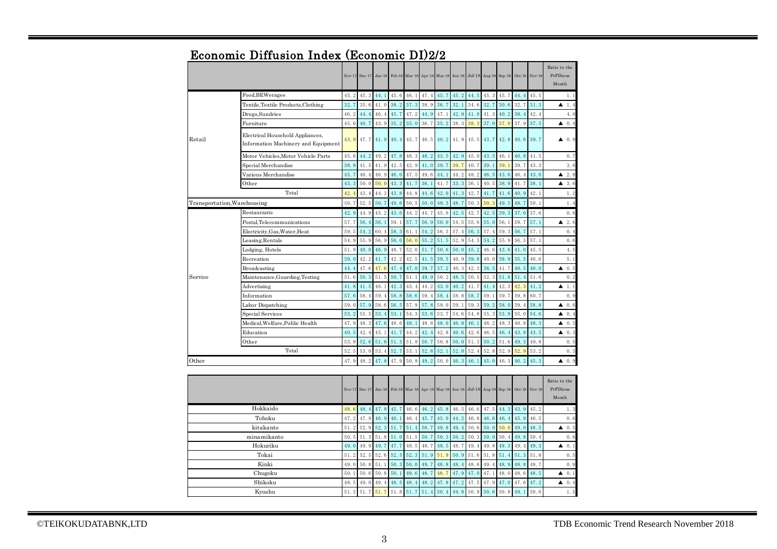|                             |                                                                         |      | Nov 17 Dec 17 | $Jan-18$ |                  |      |      | Feb-18 Mar-18 Apr-18 May-18 Jun-18 Jul-18 Aug-18 Sep-18 Oct-18 Nov-18 |      |                  |      |      |      |      | Ratio to the<br>PrFDious<br>Month |
|-----------------------------|-------------------------------------------------------------------------|------|---------------|----------|------------------|------|------|-----------------------------------------------------------------------|------|------------------|------|------|------|------|-----------------------------------|
|                             | Food, BEWerages                                                         | 45.2 | 45.3          | 44.1     | 45.6             | 46.1 | 47.4 | 45.7                                                                  | 45.2 | 44.5             | 45.3 | 45.7 | 44.4 | 45.5 | 1.1                               |
|                             | Textile, Textile Products, Clothing                                     | 32.7 | 35.6          | 41.0     | 38.2             | 37.3 | 38.9 | 36.7                                                                  | 32.1 | 34.6             | 32.7 | 30.6 | 32.7 | 31.3 | ▲<br>1.4                          |
|                             | Drugs, Sundries                                                         | 46.2 | 44.4          | 46.4     | 45.7             | 47.2 | 44.9 | 47.1                                                                  | 42.9 | 41.0             | 41.3 | 40.2 | 38.4 | 42.4 | 4.0                               |
|                             | Furniture                                                               | 45.0 | 40.7          | 43.9     | 35.2             | 35.0 | 36.7 | 35.2                                                                  | 38.3 | 38.3             | 37.0 | 37.0 | 37.9 | 37.5 | $\triangle$ 0.4                   |
| Retail                      | Electrical Household Appliances,<br>Information Machinery and Equipment | 43.9 | 47.7          |          | $41.9$ 40.4 45.7 |      | 46.5 | 40.2                                                                  |      | $41.9$ 45.5 43.7 |      | 42.8 | 40.6 | 39.7 | $\triangle$ 0.9                   |
|                             | Motor Vehicles, Motor Vehicle Parts                                     | 45.6 | 44.2          | 49.2     | 47.8             | 48.3 | 48.2 | 43.5                                                                  | 42.9 | 45.0             | 43.5 | 46.1 | 40.8 | 41.5 | 0.7                               |
|                             | Special Merchandise                                                     | 38.8 | 41.5          | 41.9     | 42.5             | 42.9 | 41.0 | 39.7                                                                  | 39.7 | 40.7             | 39.1 | 39.1 | 39.7 | 43.3 | 3.6                               |
|                             | Various Merchandise                                                     | 45.7 | 46.4          | 46.9     | 46.0             | 47.5 | 49.6 | 44.1                                                                  | 44.2 | 48.2             | 46.5 | 43.6 | 46.4 | 43.6 | $\blacktriangle$ 2.8              |
|                             | Other                                                                   | 43.3 | 50.0          | 50.0     | 43.3             | 41.7 | 36.1 | 41.7                                                                  | 33.3 | 36.1             | 40.5 | 38.9 | 41.7 | 38.1 | 43.6                              |
|                             | 42.4                                                                    | 43.4 | 44.3          | 43.8     | 44.8             | 44.6 | 42.0 | 41.3                                                                  | 42.7 | 41.7             | 41.6 | 40.9 | 42.1 | 1.2  |                                   |
| Transportation, Warehousing |                                                                         |      | 52.5          | 50.7     | 49.6             | 50.5 | 50.0 | 49.3                                                                  | 48.7 | 50.3             | 50.3 | 49.5 | 48.7 | 50.1 | 1.4                               |
|                             | Restaurants                                                             | 42.9 | 44.9          | 45.2     | 43.6             | 44.2 | 44.7 | 45.0                                                                  | 42.5 | 42.7             | 42.5 | 39.3 | 37.0 | 37.6 | 0.6                               |
|                             | Postal.Telecommunications                                               | 57.7 | 56.4          | 56.1     | 59.1             | 57.7 | 56.9 | 50.0                                                                  | 54.5 | 55.6             | 55.0 | 56.1 | 59.7 | 57.1 | 2.6<br>▲                          |
|                             | Electricity, Gas, Water, Heat                                           | 59.5 | 54.2          | 60.4     | 58.3             | 61.1 | 54.2 | 56.3                                                                  | 57.4 | 56.3             | 57.4 | 59.3 | 56.7 | 57.1 | 0.4                               |
|                             | Leasing, Rentals                                                        | 54.9 | 55.9          | 56.9     | 56.0             | 56.0 | 55.2 | 51.5                                                                  | 52.9 | 54.5             | 54.2 | 55.9 | 56.5 | 57.1 | 0, 6                              |
|                             | Lodging, Hotels                                                         | 51.9 | 48.0          | 46.9     | 48.7             | 52.0 | 51.7 | 50.6                                                                  | 50.0 | 45.2             | 46.6 | 43.6 | 41.0 | 45.5 | 4.5                               |
|                             | Recreation                                                              | 39.0 | 42.2          | 41.7     | 42.2             | 42.5 | 41.5 | 39.5                                                                  | 40.9 | 39.8             | 40.0 | 39.9 | 35.5 | 40.6 | 5.1                               |
|                             | Broadcasting                                                            | 44.4 | 47.6          | 47.6     | 47.4             | 47.0 | 39.7 | 37.2                                                                  | 40.3 | 42.3             | 38.5 | 41.7 | 40.5 | 40.0 | 0.5<br>▲                          |
| Service                     | Maintenance, Guarding, Testing                                          | 51.6 | 50.3          | 51.5     | 50.7             | 51.1 | 49.9 | 50.2                                                                  | 48.5 | 50.5             | 52.3 | 51.8 | 51.4 | 51.6 | 0.2                               |
|                             | Advertising                                                             | 41.8 | 41.5          | 46.1     | 42.3             | 43.4 | 44.2 | 43.0                                                                  | 40.2 | 41.7             | 41.4 | 42.3 | 42.3 | 41.2 | $\blacktriangle$ 1.1              |
|                             | Information                                                             | 57.6 | 58.4          | 59.4     | 58.8             | 58.6 | 59.4 | 58.4                                                                  | 58.8 | 58.7             | 59.1 | 59.7 | 59.8 | 60.7 | 0.9                               |
|                             | Labor Dispatching                                                       | 59.0 | 57.9          | 58.6     | 56.5             | 57.9 | 57.8 | 59.0                                                                  | 59.1 | 59.3             | 59.2 | 58.0 | 59.4 | 58.8 | $\triangle$ 0.6                   |
|                             | <b>Special Services</b>                                                 | 53.2 | 55.5          | 53.4     | 53.1             | 54.3 | 53.6 | 53.7                                                                  | 54.6 | 54.8             | 55.3 | 53.9 | 55.0 | 54.6 | 40.4                              |
|                             | Medical, Welfare, Public Health                                         | 47.9 | 48.3          | 47.6     | 48.6             | 48.1 | 48.8 | 48.0                                                                  | 46.8 | 46.1             | 48.2 | 48.3 | 48.8 | 48.3 | 40.5                              |
|                             | Education                                                               | 40.5 | 42.4          | 45.1     | 41.7             | 44.2 | 42.4 | 42.8                                                                  | 40.6 | 42.6             | 46.5 | 46.4 | 43.8 | 43.5 | $\triangle$ 0.3                   |
|                             | Other                                                                   | 53.9 | 52.6          | 51.6     | 51.3             | 51.8 | 50.7 | 50.8                                                                  | 50.0 | 51.3             | 50.2 | 51.6 | 49.3 | 49.8 | 0.5                               |
|                             | Total                                                                   | 52.5 | 53.0          | 53.4     | 52.7             | 53.1 | 52.8 | 52.1                                                                  | 52.0 | 52.4             | 52.8 | 52.9 | 52.9 | 53.2 | 0.3                               |
| Other                       |                                                                         | 47.9 | 48.2          | 47.8     | 47.9             | 50.8 | 49.2 | 50.0                                                                  | 46.3 | 46.1             | 45.0 | 46.3 | 46.2 | 45.3 | $\triangle$ 0.9                   |
|                             |                                                                         |      | Nov 17 Dec 17 | $Jan-18$ |                  |      |      | Feb 18 Mar 18 Apr 18 May 18 Jun 18 Jul 18 Aug 18 Sep 18 Oct 18 Nov 18 |      |                  |      |      |      |      | Ratio to the<br>PrFDious<br>Month |

## Economic Diffusion Index (Economic DI)2/2

|             |  |  |  |  |  |                                                                               | Nov 17 Dec 17 Jan 18 Feb 18 Mar 18 Apr 18 May 18 Jun 18 Jul 18 Aug 18 Sep 18 Oct 18 Nov 18              | Ratio to the<br>PrFDious<br>Month |
|-------------|--|--|--|--|--|-------------------------------------------------------------------------------|---------------------------------------------------------------------------------------------------------|-----------------------------------|
| Hokkaido    |  |  |  |  |  | 48. 6 48. 4 47. 8 45. 7 46. 6 46. 2 45. 8 46. 5 46. 6 47. 5 44. 3 43. 9 45. 2 |                                                                                                         | 1.3                               |
| Tohoku      |  |  |  |  |  | 47. 2 47. 9 46. 9 46. 1 46. 4 45. 7 45. 0 44. 2 46. 8 46. 6 46. 4 45. 9 46. 5 |                                                                                                         | 0.6                               |
| kitakanto   |  |  |  |  |  | 51. 2 52. 9 52. 3 51. 7 51. 4 50. 7 49. 8 49. 4 50. 6 50. 0 50. 0 49. 0 48. 5 |                                                                                                         | 40.5                              |
| minamikanto |  |  |  |  |  |                                                                               | 50, 5 51, 3 51, 8 51, 0 51, 5 50, 7 50, 3 50, 2 50, 3 50, 0 50, 4 49, 8 50, 4                           | 0.6                               |
| Hokuriku    |  |  |  |  |  | 49.0 49.9 49.7 47.7 48.5 48.7 48.5 48.7 49.4 49.8 49.3 49.4 49.3              |                                                                                                         | $\triangle$ 0.1                   |
| Tokai       |  |  |  |  |  |                                                                               | $51, 2$ $52, 5$ $52, 6$ $52, 5$ $52, 3$ $51, 9$ $51, 9$ $50, 9$ $51, 6$ $51, 8$ $51, 4$ $51, 3$ $51, 8$ | 0.5                               |
| Kinki       |  |  |  |  |  | 49, 0 50, 8 51, 1 50, 3 50, 0 49, 7 48, 8 48, 4 48, 6 49, 4 48, 9 48, 8 49, 7 |                                                                                                         | 0.9                               |
| Chugoku     |  |  |  |  |  | 50. 1 50. 6 50. 8 50. 1 49. 6 48. 7 48. 7 47. 9 47. 0 47. 1 48. 0 48. 6 48. 5 |                                                                                                         | $\triangle$ 0.1                   |
| Shikoku     |  |  |  |  |  |                                                                               | 48, 5 49, 0 49, 4 48, 5 48, 4 48, 2 47, 8 47, 2 47, 5 47, 9 47, 0 47, 6 47, 2                           | $\triangle$ 0.4                   |
| Kyushu      |  |  |  |  |  | 51. 3 51. 7 51. 7 51. 8 51. 7 51. 4 50. 4 49. 8 50. 9 50. 6 50. 8 49. 1       | 50.6                                                                                                    | 1.5                               |
|             |  |  |  |  |  |                                                                               |                                                                                                         |                                   |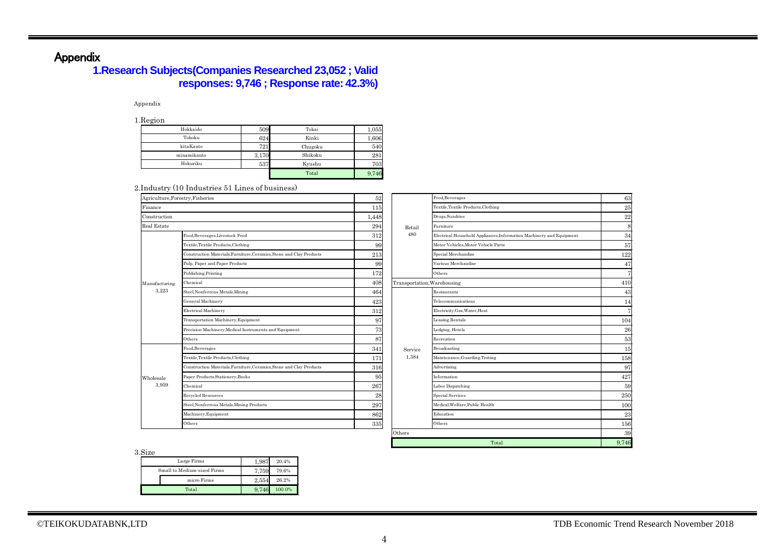## Appendix

## **1.Research Subjects(Companies Researched 23,052 ; Valid responses: 9,746 ; Response rate: 42.3%)**

#### Appendix

1.Region

| ັ           |       |         |       |
|-------------|-------|---------|-------|
| Hokkaido    | 509   | Tokai   | 1,055 |
| Tohoku      | 624   | Kinki   | 1,606 |
| kitaKanto   | 721   | Chugoku | 540   |
| minamikanto | 3,170 | Shikoku | 281   |
| Hokuriku    | 537   | Kyushu  | 703   |
|             |       | Total   | 9,746 |

#### 2.Industry (10 Industries 51 Lines of business)

| Agriculture, Forestry, Fisheries                                     | $52\,$ |         | Food, Beverages                                                      | 63                          |  |  |  |
|----------------------------------------------------------------------|--------|---------|----------------------------------------------------------------------|-----------------------------|--|--|--|
|                                                                      | 115    |         | Textile, Textile Products, Clothing                                  | 25                          |  |  |  |
|                                                                      | 1,448  |         | Drugs, Sundries                                                      | 22                          |  |  |  |
|                                                                      | 294    | Retail  | Furniture                                                            |                             |  |  |  |
| Food, Beverages, Livestock Feed                                      | 312    | 480     | Electrical Household Appliances, Information Machinery and Equipment | 34                          |  |  |  |
| Textile, Textile Products, Clothing                                  | 99     |         | Motor Vehicles.Motor Vehicle Parts                                   | 57                          |  |  |  |
| Construction Materials, Furniture, Ceramics, Stone and Clay Products | 213    |         | Special Merchandise                                                  | 122                         |  |  |  |
| Pulp, Paper and Paper Products                                       | 99     |         | Various Merchandise                                                  | 47                          |  |  |  |
| Publishing, Printing                                                 | 172    |         | Others                                                               |                             |  |  |  |
| Chemical                                                             | 408    |         |                                                                      | 410                         |  |  |  |
| Steel, Nonferrous Metals, Mining                                     | 464    |         | Restaurants                                                          | 43                          |  |  |  |
| General Machinery                                                    | 423    |         | Telecommunications                                                   | 14                          |  |  |  |
| Electrical Machinery                                                 | 312    |         | Electricity, Gas, Water, Heat                                        |                             |  |  |  |
| Transportation Machinery, Equipment                                  | 97     |         | Leasing, Rentals                                                     | 104                         |  |  |  |
| Precision Machinery, Medical Instruments and Equipment               | 73     |         | Lodging, Hotels                                                      | 26                          |  |  |  |
| Others                                                               | 87     |         | Recreation                                                           | 53                          |  |  |  |
| Food, Beverages                                                      | 341    | Service | Broadcasting                                                         | 15                          |  |  |  |
| Textile, Textile Products, Clothing                                  | 171    | 1,384   | Maintenance, Guarding, Testing                                       | 158                         |  |  |  |
| Construction Materials, Furniture, Ceramics, Stone and Clay Products | 316    |         | Advertising                                                          | 97                          |  |  |  |
| Paper Products, Stationery, Books                                    | 95     |         | Information                                                          | 427                         |  |  |  |
| Chemical                                                             | 267    |         | Labor Dispatching                                                    | 59                          |  |  |  |
| Recycled Resources                                                   | 28     |         | Special Services                                                     | 250                         |  |  |  |
| Steel, Nonferrous Metals, Mining Products                            | 297    |         | Medical.Welfare.Public Health                                        | 100                         |  |  |  |
| Machinery, Equipment                                                 | 862    |         | Education                                                            | 23                          |  |  |  |
| Others                                                               | 335    |         | Others                                                               | 156                         |  |  |  |
|                                                                      |        | Others  |                                                                      |                             |  |  |  |
|                                                                      |        |         | Total                                                                | 9,746                       |  |  |  |
|                                                                      |        |         |                                                                      | Transportation, Warehousing |  |  |  |

3.Size

| ,,,,,,,                     |       |        |
|-----------------------------|-------|--------|
| Large Firms                 | 1.987 | 20.4%  |
| Small to Medium-sized Firms | 7.759 | 79.6%  |
| micro Firms                 | 2.554 | 26.2%  |
| Total                       | 9.746 | 100.0% |